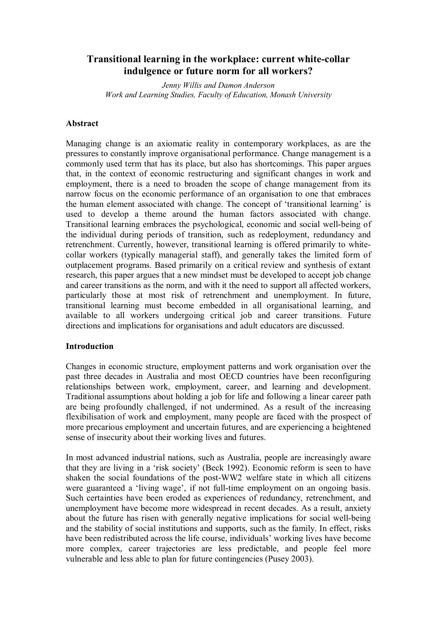# **Transitional learning in the workplace: current white-collar indulgence or future norm for all workers?**

*Jenny Willis and Damon Anderson Work and Learning Studies, Faculty of Education, Monash University*

### **Abstract**

Managing change is an axiomatic reality in contemporary workplaces, as are the pressures to constantly improve organisational performance. Change management is a commonly used term that has its place, but also has shortcomings. This paper argues that, in the context of economic restructuring and significant changes in work and employment, there is a need to broaden the scope of change management from its narrow focus on the economic performance of an organisation to one that embraces the human element associated with change. The concept of 'transitional learning' is used to develop a theme around the human factors associated with change. Transitional learning embraces the psychological, economic and social wellbeing of the individual during periods of transition, such as redeployment, redundancy and retrenchment. Currently, however, transitional learning is offered primarily to white collar workers (typically managerial staff), and generally takes the limited form of outplacement programs. Based primarily on a critical review and synthesis of extant research, this paper argues that a new mindset must be developed to accept job change and career transitions as the norm, and with it the need to support all affected workers, particularly those at most risk of retrenchment and unemployment. In future, transitional learning must become embedded in all organisational learning, and available to all workers undergoing critical job and career transitions. Future directions and implications for organisations and adult educators are discussed.

### **Introduction**

Changes in economic structure, employment patterns and work organisation over the past three decades in Australia and most OECD countries have been reconfiguring relationships between work, employment, career, and learning and development. Traditional assumptions about holding a job for life and following a linear career path are being profoundly challenged, if not undermined. As a result of the increasing flexibilisation of work and employment, many people are faced with the prospect of more precarious employment and uncertain futures, and are experiencing a heightened sense of insecurity about their working lives and futures.

In most advanced industrial nations, such as Australia, people are increasingly aware that they are living in a 'risk society' (Beck 1992). Economic reform is seen to have shaken the social foundations of the post-WW2 welfare state in which all citizens were guaranteed a 'living wage', if not full-time employment on an ongoing basis. Such certainties have been eroded as experiences of redundancy, retrenchment, and unemployment have become more widespread in recent decades. As a result, anxiety about the future has risen with generally negative implications for social well-being and the stability of social institutions and supports, such as the family. In effect, risks have been redistributed across the life course, individuals' working lives have become more complex, career trajectories are less predictable, and people feel more vulnerable and less able to plan for future contingencies (Pusey 2003).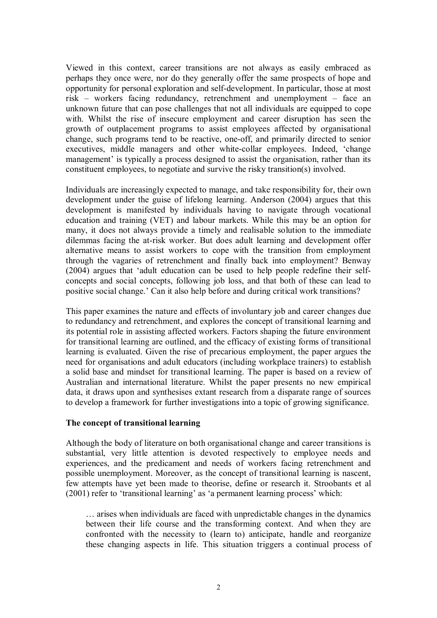Viewed in this context, career transitions are not always as easily embraced as perhaps they once were, nor do they generally offer the same prospects of hope and opportunity for personal exploration and self-development. In particular, those at most risk – workers facing redundancy, retrenchment and unemployment – face an unknown future that can pose challenges that not all individuals are equipped to cope with. Whilst the rise of insecure employment and career disruption has seen the growth of outplacement programs to assist employees affected by organisational change, such programs tend to be reactive, one-off, and primarily directed to senior executives, middle managers and other white-collar employees. Indeed, 'change management' is typically a process designed to assist the organisation, rather than its constituent employees, to negotiate and survive the risky transition(s) involved.

Individuals are increasingly expected to manage, and take responsibility for, their own development under the guise of lifelong learning. Anderson (2004) argues that this development is manifested by individuals having to navigate through vocational education and training (VET) and labour markets. While this may be an option for many, it does not always provide a timely and realisable solution to the immediate dilemmas facing the at-risk worker. But does adult learning and development offer alternative means to assist workers to cope with the transition from employment through the vagaries of retrenchment and finally back into employment? Benway (2004) argues that 'adult education can be used to help people redefine their self concepts and social concepts, following job loss, and that both of these can lead to positive social change.' Can it also help before and during critical work transitions?

This paper examines the nature and effects of involuntary job and career changes due to redundancy and retrenchment, and explores the concept of transitional learning and its potential role in assisting affected workers. Factors shaping the future environment for transitional learning are outlined, and the efficacy of existing forms of transitional learning is evaluated. Given the rise of precarious employment, the paper argues the need for organisations and adult educators (including workplace trainers) to establish a solid base and mindset for transitional learning. The paper is based on a review of Australian and international literature. Whilst the paper presents no new empirical data, it draws upon and synthesises extant research from a disparate range of sources to develop a framework for further investigations into a topic of growing significance.

#### **The concept of transitional learning**

Although the body of literature on both organisational change and career transitions is substantial, very little attention is devoted respectively to employee needs and experiences, and the predicament and needs of workers facing retrenchment and possible unemployment. Moreover, as the concept of transitional learning is nascent, few attempts have yet been made to theorise, define or research it. Stroobants et al (2001) refer to 'transitional learning' as 'a permanent learning process' which:

… arises when individuals are faced with unpredictable changes in the dynamics between their life course and the transforming context. And when they are confronted with the necessity to (learn to) anticipate, handle and reorganize these changing aspects in life. This situation triggers a continual process of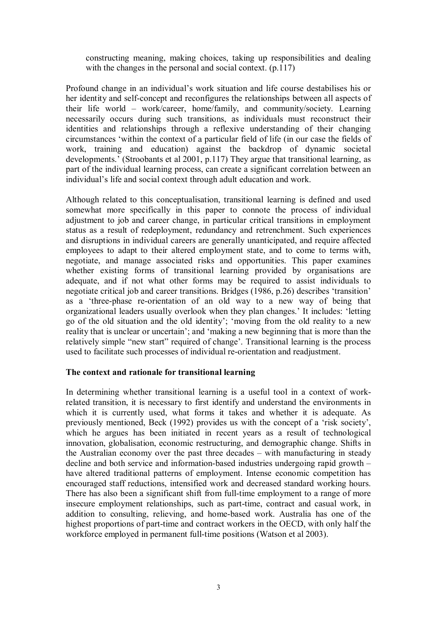constructing meaning, making choices, taking up responsibilities and dealing with the changes in the personal and social context. (p.117)

Profound change in an individual's work situation and life course destabilises his or her identity and self-concept and reconfigures the relationships between all aspects of their life world – work/career, home/family, and community/society. Learning necessarily occurs during such transitions, as individuals must reconstruct their identities and relationships through a reflexive understanding of their changing circumstances 'within the context of a particular field of life (in our case the fields of work, training and education) against the backdrop of dynamic societal developments.' (Stroobants et al 2001, p.117) They argue that transitional learning, as part of the individual learning process, can create a significant correlation between an individual's life and social context through adult education and work.

Although related to this conceptualisation, transitional learning is defined and used somewhat more specifically in this paper to connote the process of individual adjustment to job and career change, in particular critical transitions in employment status as a result of redeployment, redundancy and retrenchment. Such experiences and disruptions in individual careers are generally unanticipated, and require affected employees to adapt to their altered employment state, and to come to terms with, negotiate, and manage associated risks and opportunities. This paper examines whether existing forms of transitional learning provided by organisations are adequate, and if not what other forms may be required to assist individuals to negotiate critical job and career transitions. Bridges (1986, p.26) describes 'transition' as a 'three-phase re-orientation of an old way to a new way of being that organizational leaders usually overlook when they plan changes.' It includes: 'letting go of the old situation and the old identity'; 'moving from the old reality to a new reality that is unclear or uncertain'; and 'making a new beginning that is more than the relatively simple "new start" required of change'. Transitional learning is the process used to facilitate such processes of individual re-orientation and readjustment.

### **The context and rationale for transitional learning**

In determining whether transitional learning is a useful tool in a context of workrelated transition, it is necessary to first identify and understand the environments in which it is currently used, what forms it takes and whether it is adequate. As previously mentioned, Beck (1992) provides us with the concept of a 'risk society', which he argues has been initiated in recent years as a result of technological innovation, globalisation, economic restructuring, and demographic change. Shifts in the Australian economy over the past three decades – with manufacturing in steady decline and both service and information-based industries undergoing rapid growth  $$ have altered traditional patterns of employment. Intense economic competition has encouraged staff reductions, intensified work and decreased standard working hours. There has also been a significant shift from full-time employment to a range of more insecure employment relationships, such as part-time, contract and casual work, in addition to consulting, relieving, and home-based work. Australia has one of the highest proportions of part-time and contract workers in the OECD, with only half the workforce employed in permanent full-time positions (Watson et al 2003).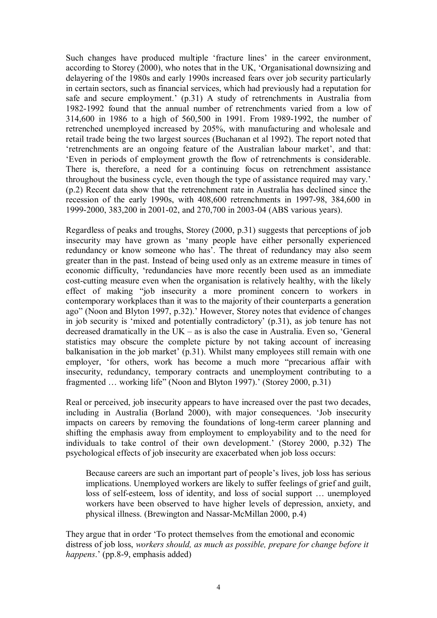Such changes have produced multiple 'fracture lines' in the career environment, according to Storey (2000), who notes that in the UK, 'Organisational downsizing and delayering of the 1980s and early 1990s increased fears over job security particularly in certain sectors, such as financial services, which had previously had a reputation for safe and secure employment.' (p.31) A study of retrenchments in Australia from 1982-1992 found that the annual number of retrenchments varied from a low of 314,600 in 1986 to a high of 560,500 in 1991. From 1989-1992, the number of retrenched unemployed increased by 205%, with manufacturing and wholesale and retail trade being the two largest sources (Buchanan et al 1992). The report noted that 'retrenchments are an ongoing feature of the Australian labour market', and that: 'Even in periods of employment growth the flow of retrenchments is considerable. There is, therefore, a need for a continuing focus on retrenchment assistance throughout the business cycle, even though the type of assistance required may vary.' (p.2) Recent data show that the retrenchment rate in Australia has declined since the recession of the early 1990s, with 408,600 retrenchments in 1997-98, 384,600 in 1999-2000, 383,200 in 2001-02, and 270,700 in 2003-04 (ABS various years).

Regardless of peaks and troughs, Storey (2000, p.31) suggests that perceptions of job insecurity may have grown as 'many people have either personally experienced redundancy or know someone who has'. The threat of redundancy may also seem greater than in the past. Instead of being used only as an extreme measure in times of economic difficulty, 'redundancies have more recently been used as an immediate cost-cutting measure even when the organisation is relatively healthy, with the likely effect of making "job insecurity a more prominent concern to workers in contemporary workplaces than it was to the majority of their counterparts a generation ago" (Noon and Blyton 1997, p.32).' However, Storey notes that evidence of changes in job security is 'mixed and potentially contradictory' (p.31), as job tenure has not decreased dramatically in the UK – as is also the case in Australia. Even so, 'General statistics may obscure the complete picture by not taking account of increasing balkanisation in the job market' (p.31). Whilst many employees still remain with one employer, 'for others, work has become a much more "precarious affair with insecurity, redundancy, temporary contracts and unemployment contributing to a fragmented … working life" (Noon and Blyton 1997).' (Storey 2000, p.31)

Real or perceived, job insecurity appears to have increased over the past two decades, including in Australia (Borland 2000), with major consequences. 'Job insecurity impacts on careers by removing the foundations of long-term career planning and shifting the emphasis away from employment to employability and to the need for individuals to take control of their own development.' (Storey 2000, p.32) The psychological effects of job insecurity are exacerbated when job loss occurs:

Because careers are such an important part of people's lives, job loss has serious implications. Unemployed workers are likely to suffer feelings of grief and guilt, loss of self-esteem, loss of identity, and loss of social support ... unemployed workers have been observed to have higher levels of depression, anxiety, and physical illness. (Brewington and Nassar-McMillan 2000, p.4)

They argue that in order 'To protect themselves from the emotional and economic distress of job loss, *workers should, as much as possible, prepare for change before it happens.*' (pp.8-9, emphasis added)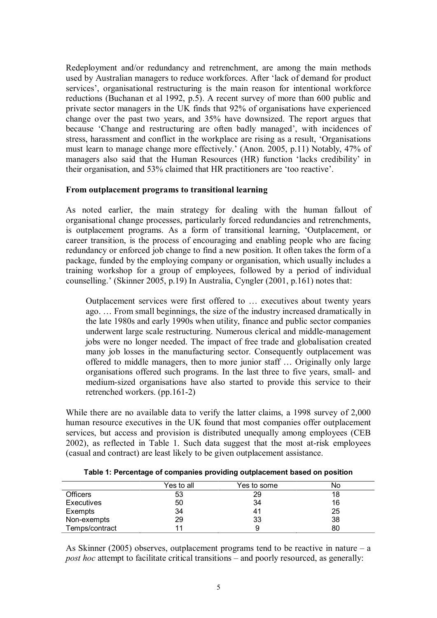Redeployment and/or redundancy and retrenchment, are among the main methods used by Australian managers to reduce workforces. After 'lack of demand for product services', organisational restructuring is the main reason for intentional workforce reductions (Buchanan et al 1992, p.5). A recent survey of more than 600 public and private sector managers in the UK finds that 92% of organisations have experienced change over the past two years, and 35% have downsized. The report argues that because 'Change and restructuring are often badly managed', with incidences of stress, harassment and conflict in the workplace are rising as a result, 'Organisations must learn to manage change more effectively.' (Anon. 2005, p.11) Notably, 47% of managers also said that the Human Resources (HR) function 'lacks credibility' in their organisation, and 53% claimed that HR practitioners are 'too reactive'.

#### **From outplacement programs to transitional learning**

As noted earlier, the main strategy for dealing with the human fallout of organisational change processes, particularly forced redundancies and retrenchments, is outplacement programs. As a form of transitional learning, 'Outplacement, or career transition, is the process of encouraging and enabling people who are facing redundancy or enforced job change to find a new position. It often takes the form of a package, funded by the employing company or organisation, which usually includes a training workshop for a group of employees, followed by a period of individual counselling.' (Skinner 2005, p.19) In Australia, Cyngler (2001, p.161) notes that:

Outplacement services were first offered to … executives about twenty years ago. … From small beginnings, the size of the industry increased dramatically in the late 1980s and early 1990s when utility, finance and public sector companies underwent large scale restructuring. Numerous clerical and middle-management jobs were no longer needed. The impact of free trade and globalisation created many job losses in the manufacturing sector. Consequently outplacement was offered to middle managers, then to more junior staff … Originally only large organisations offered such programs. In the last three to five years, small- and medium-sized organisations have also started to provide this service to their retrenched workers. (pp.161-2)

While there are no available data to verify the latter claims, a 1998 survey of 2,000 human resource executives in the UK found that most companies offer outplacement services, but access and provision is distributed unequally among employees (CEB 2002), as reflected in Table 1. Such data suggest that the most at-risk employees (casual and contract) are least likely to be given outplacement assistance.

|                 | Yes to all | Yes to some | N٥ |
|-----------------|------------|-------------|----|
| <b>Officers</b> | 53         | 29          | 18 |
| Executives      | 50         | 34          | 16 |
| Exempts         | 34         | 41          | 25 |
| Non-exempts     | 29         | 33          | 38 |
| Temps/contract  |            | 9           | 80 |

**Table 1: Percentage of companies providing outplacement based on position**

As Skinner (2005) observes, outplacement programs tend to be reactive in nature – a *post hoc* attempt to facilitate critical transitions – and poorly resourced, as generally: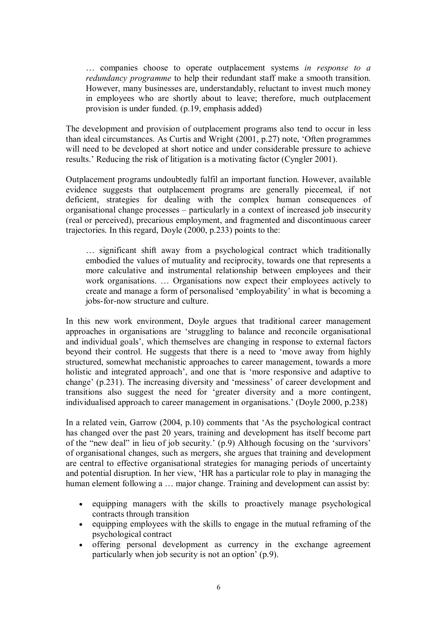… companies choose to operate outplacement systems *in response to a redundancy programme* to help their redundant staff make a smooth transition. However, many businesses are, understandably, reluctant to invest much money in employees who are shortly about to leave; therefore, much outplacement provision is under funded. (p.19, emphasis added)

The development and provision of outplacement programs also tend to occur in less than ideal circumstances. As Curtis and Wright (2001, p.27) note, 'Often programmes will need to be developed at short notice and under considerable pressure to achieve results.' Reducing the risk of litigation is a motivating factor (Cyngler 2001).

Outplacement programs undoubtedly fulfil an important function. However, available evidence suggests that outplacement programs are generally piecemeal, if not deficient, strategies for dealing with the complex human consequences of organisational change processes – particularly in a context of increased job insecurity (real or perceived), precarious employment, and fragmented and discontinuous career trajectories. In this regard, Doyle (2000, p.233) points to the:

… significant shift away from a psychological contract which traditionally embodied the values of mutuality and reciprocity, towards one that represents a more calculative and instrumental relationship between employees and their work organisations. … Organisations now expect their employees actively to create and manage a form of personalised 'employability' in what is becoming a jobs-for-now structure and culture.

In this new work environment, Doyle argues that traditional career management approaches in organisations are 'struggling to balance and reconcile organisational and individual goals', which themselves are changing in response to external factors beyond their control. He suggests that there is a need to 'move away from highly structured, somewhat mechanistic approaches to career management, towards a more holistic and integrated approach', and one that is 'more responsive and adaptive to change' (p.231). The increasing diversity and 'messiness' of career development and transitions also suggest the need for 'greater diversity and a more contingent, individualised approach to career management in organisations.' (Doyle 2000, p.238)

In a related vein, Garrow (2004, p.10) comments that 'As the psychological contract has changed over the past 20 years, training and development has itself become part of the "new deal" in lieu of job security.' (p.9) Although focusing on the 'survivors' of organisational changes, such as mergers, she argues that training and development are central to effective organisational strategies for managing periods of uncertainty and potential disruption. In her view, 'HR has a particular role to play in managing the human element following a ... major change. Training and development can assist by:

- · equipping managers with the skills to proactively manage psychological contracts through transition
- · equipping employees with the skills to engage in the mutual reframing of the psychological contract
- · offering personal development as currency in the exchange agreement particularly when job security is not an option' (p.9).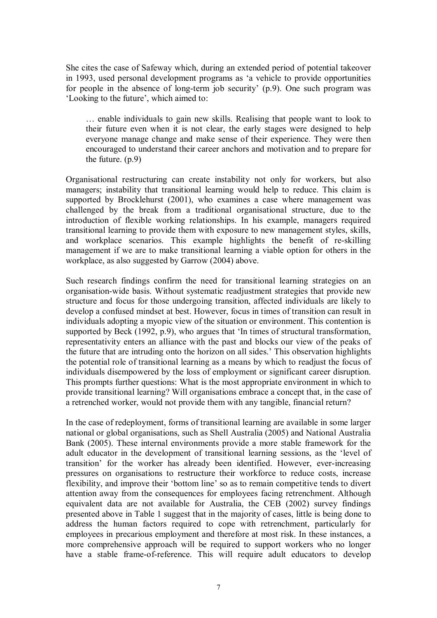She cites the case of Safeway which, during an extended period of potential takeover in 1993, used personal development programs as 'a vehicle to provide opportunities for people in the absence of long-term job security'  $(p.9)$ . One such program was 'Looking to the future', which aimed to:

… enable individuals to gain new skills. Realising that people want to look to their future even when it is not clear, the early stages were designed to help everyone manage change and make sense of their experience. They were then encouraged to understand their career anchors and motivation and to prepare for the future. (p.9)

Organisational restructuring can create instability not only for workers, but also managers; instability that transitional learning would help to reduce. This claim is supported by Brocklehurst (2001), who examines a case where management was challenged by the break from a traditional organisational structure, due to the introduction of flexible working relationships. In his example, managers required transitional learning to provide them with exposure to new management styles, skills, and workplace scenarios. This example highlights the benefit of reskilling management if we are to make transitional learning a viable option for others in the workplace, as also suggested by Garrow (2004) above.

Such research findings confirm the need for transitional learning strategies on an organisation-wide basis. Without systematic readjustment strategies that provide new structure and focus for those undergoing transition, affected individuals are likely to develop a confused mindset at best. However, focus in times of transition can result in individuals adopting a myopic view of the situation or environment. This contention is supported by Beck (1992, p.9), who argues that 'In times of structural transformation, representativity enters an alliance with the past and blocks our view of the peaks of the future that are intruding onto the horizon on all sides.' This observation highlights the potential role of transitional learning as a means by which to readjust the focus of individuals disempowered by the loss of employment or significant career disruption. This prompts further questions: What is the most appropriate environment in which to provide transitional learning? Will organisations embrace a concept that, in the case of a retrenched worker, would not provide them with any tangible, financial return?

In the case of redeployment, forms of transitional learning are available in some larger national or global organisations, such as Shell Australia (2005) and National Australia Bank (2005). These internal environments provide a more stable framework for the adult educator in the development of transitional learning sessions, as the 'level of transition' for the worker has already been identified. However, everincreasing pressures on organisations to restructure their workforce to reduce costs, increase flexibility, and improve their 'bottom line' so as to remain competitive tends to divert attention away from the consequences for employees facing retrenchment. Although equivalent data are not available for Australia, the CEB (2002) survey findings presented above in Table 1 suggest that in the majority of cases, little is being done to address the human factors required to cope with retrenchment, particularly for employees in precarious employment and therefore at most risk. In these instances, a more comprehensive approach will be required to support workers who no longer have a stable frame-of-reference. This will require adult educators to develop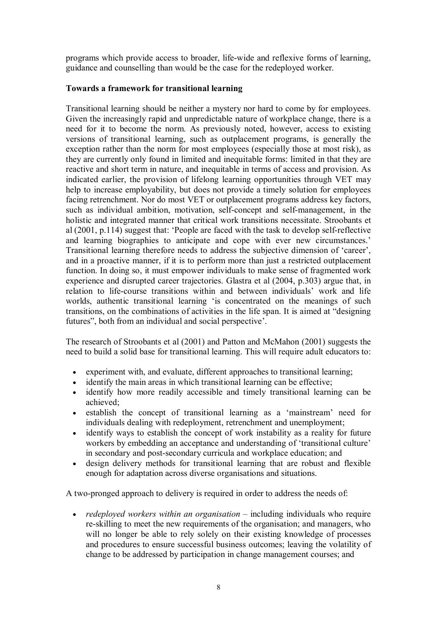programs which provide access to broader, life-wide and reflexive forms of learning, guidance and counselling than would be the case for the redeployed worker.

# **Towards a framework for transitional learning**

Transitional learning should be neither a mystery nor hard to come by for employees. Given the increasingly rapid and unpredictable nature of workplace change, there is a need for it to become the norm. As previously noted, however, access to existing versions of transitional learning, such as outplacement programs, is generally the exception rather than the norm for most employees (especially those at most risk), as they are currently only found in limited and inequitable forms: limited in that they are reactive and short term in nature, and inequitable in terms of access and provision. As indicated earlier, the provision of lifelong learning opportunities through VET may help to increase employability, but does not provide a timely solution for employees facing retrenchment. Nor do most VET or outplacement programs address key factors, such as individual ambition, motivation, self-concept and self-management, in the holistic and integrated manner that critical work transitions necessitate. Stroobants et al  $(2001, p.114)$  suggest that: 'People are faced with the task to develop self-reflective and learning biographies to anticipate and cope with ever new circumstances.' Transitional learning therefore needs to address the subjective dimension of 'career', and in a proactive manner, if it is to perform more than just a restricted outplacement function. In doing so, it must empower individuals to make sense of fragmented work experience and disrupted career trajectories. Glastra et al (2004, p.303) argue that, in relation to life-course transitions within and between individuals' work and life worlds, authentic transitional learning 'is concentrated on the meanings of such transitions, on the combinations of activities in the life span. It is aimed at "designing futures", both from an individual and social perspective'.

The research of Stroobants et al (2001) and Patton and McMahon (2001) suggests the need to build a solid base for transitional learning. This will require adult educators to:

- · experiment with, and evaluate, different approaches to transitional learning;
- identify the main areas in which transitional learning can be effective;
- · identify how more readily accessible and timely transitional learning can be achieved;
- · establish the concept of transitional learning as a 'mainstream' need for individuals dealing with redeployment, retrenchment and unemployment;
- · identify ways to establish the concept of work instability as a reality for future workers by embedding an acceptance and understanding of 'transitional culture' in secondary and post-secondary curricula and workplace education; and
- · design delivery methods for transitional learning that are robust and flexible enough for adaptation across diverse organisations and situations.

A two-pronged approach to delivery is required in order to address the needs of:

· *redeployed workers within an organisation* – including individuals who require re-skilling to meet the new requirements of the organisation; and managers, who will no longer be able to rely solely on their existing knowledge of processes and procedures to ensure successful business outcomes; leaving the volatility of change to be addressed by participation in change management courses; and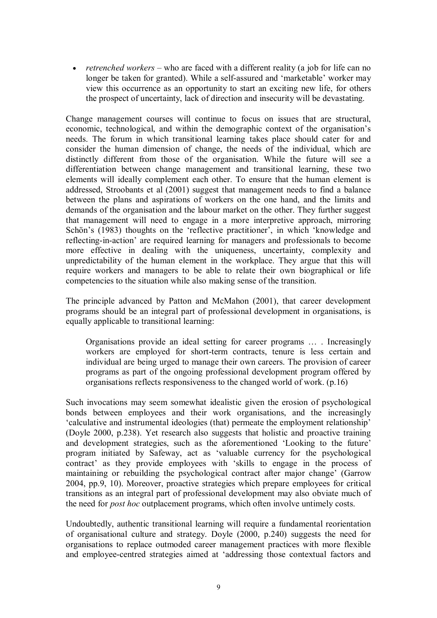· *retrenched workers* – who are faced with a different reality (a job for life can no longer be taken for granted). While a self-assured and 'marketable' worker may view this occurrence as an opportunity to start an exciting new life, for others the prospect of uncertainty, lack of direction and insecurity will be devastating.

Change management courses will continue to focus on issues that are structural, economic, technological, and within the demographic context of the organisation's needs. The forum in which transitional learning takes place should cater for and consider the human dimension of change, the needs of the individual, which are distinctly different from those of the organisation. While the future will see a differentiation between change management and transitional learning, these two elements will ideally complement each other. To ensure that the human element is addressed, Stroobants et al (2001) suggest that management needs to find a balance between the plans and aspirations of workers on the one hand, and the limits and demands of the organisation and the labour market on the other. They further suggest that management will need to engage in a more interpretive approach, mirroring Schön's (1983) thoughts on the 'reflective practitioner', in which 'knowledge and reflecting-in-action' are required learning for managers and professionals to become more effective in dealing with the uniqueness, uncertainty, complexity and unpredictability of the human element in the workplace. They argue that this will require workers and managers to be able to relate their own biographical or life competencies to the situation while also making sense of the transition.

The principle advanced by Patton and McMahon (2001), that career development programs should be an integral part of professional development in organisations, is equally applicable to transitional learning:

Organisations provide an ideal setting for career programs … . Increasingly workers are employed for short-term contracts, tenure is less certain and individual are being urged to manage their own careers. The provision of career programs as part of the ongoing professional development program offered by organisations reflects responsiveness to the changed world of work. (p.16)

Such invocations may seem somewhat idealistic given the erosion of psychological bonds between employees and their work organisations, and the increasingly 'calculative and instrumental ideologies (that) permeate the employment relationship' (Doyle 2000, p.238). Yet research also suggests that holistic and proactive training and development strategies, such as the aforementioned 'Looking to the future' program initiated by Safeway, act as 'valuable currency for the psychological contract' as they provide employees with 'skills to engage in the process of maintaining or rebuilding the psychological contract after major change' (Garrow 2004, pp.9, 10). Moreover, proactive strategies which prepare employees for critical transitions as an integral part of professional development may also obviate much of the need for *post hoc* outplacement programs, which often involve untimely costs.

Undoubtedly, authentic transitional learning will require a fundamental reorientation of organisational culture and strategy. Doyle (2000, p.240) suggests the need for organisations to replace outmoded career management practices with more flexible and employee-centred strategies aimed at 'addressing those contextual factors and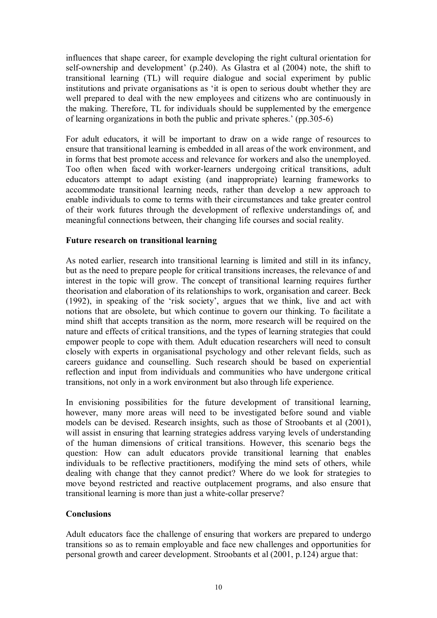influences that shape career, for example developing the right cultural orientation for self-ownership and development' (p.240). As Glastra et al  $(2004)$  note, the shift to transitional learning (TL) will require dialogue and social experiment by public institutions and private organisations as 'it is open to serious doubt whether they are well prepared to deal with the new employees and citizens who are continuously in the making. Therefore, TL for individuals should be supplemented by the emergence of learning organizations in both the public and private spheres.' (pp.305-6)

For adult educators, it will be important to draw on a wide range of resources to ensure that transitional learning is embedded in all areas of the work environment, and in forms that best promote access and relevance for workers and also the unemployed. Too often when faced with worker-learners undergoing critical transitions, adult educators attempt to adapt existing (and inappropriate) learning frameworks to accommodate transitional learning needs, rather than develop a new approach to enable individuals to come to terms with their circumstances and take greater control of their work futures through the development of reflexive understandings of, and meaningful connections between, their changing life courses and social reality.

## **Future research on transitional learning**

As noted earlier, research into transitional learning is limited and still in its infancy, but as the need to prepare people for critical transitions increases, the relevance of and interest in the topic will grow. The concept of transitional learning requires further theorisation and elaboration of its relationships to work, organisation and career. Beck (1992), in speaking of the 'risk society', argues that we think, live and act with notions that are obsolete, but which continue to govern our thinking. To facilitate a mind shift that accepts transition as the norm, more research will be required on the nature and effects of critical transitions, and the types of learning strategies that could empower people to cope with them. Adult education researchers will need to consult closely with experts in organisational psychology and other relevant fields, such as careers guidance and counselling. Such research should be based on experiential reflection and input from individuals and communities who have undergone critical transitions, not only in a work environment but also through life experience.

In envisioning possibilities for the future development of transitional learning, however, many more areas will need to be investigated before sound and viable models can be devised. Research insights, such as those of Stroobants et al (2001), will assist in ensuring that learning strategies address varying levels of understanding of the human dimensions of critical transitions. However, this scenario begs the question: How can adult educators provide transitional learning that enables individuals to be reflective practitioners, modifying the mind sets of others, while dealing with change that they cannot predict? Where do we look for strategies to move beyond restricted and reactive outplacement programs, and also ensure that transitional learning is more than just a white-collar preserve?

# **Conclusions**

Adult educators face the challenge of ensuring that workers are prepared to undergo transitions so as to remain employable and face new challenges and opportunities for personal growth and career development. Stroobants et al (2001, p.124) argue that: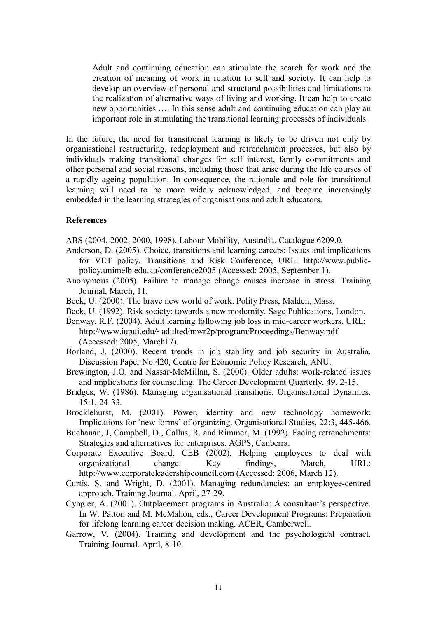Adult and continuing education can stimulate the search for work and the creation of meaning of work in relation to self and society. It can help to develop an overview of personal and structural possibilities and limitations to the realization of alternative ways of living and working. It can help to create new opportunities …. In this sense adult and continuing education can play an important role in stimulating the transitional learning processes of individuals.

In the future, the need for transitional learning is likely to be driven not only by organisational restructuring, redeployment and retrenchment processes, but also by individuals making transitional changes for self interest, family commitments and other personal and social reasons, including those that arise during the life courses of a rapidly ageing population. In consequence, the rationale and role for transitional learning will need to be more widely acknowledged, and become increasingly embedded in the learning strategies of organisations and adult educators.

#### **References**

ABS (2004, 2002, 2000, 1998). Labour Mobility, Australia. Catalogue 6209.0.

- Anderson, D. (2005). Choice, transitions and learning careers: Issues and implications for VET policy. Transitions and Risk Conference, URL: http://www.public policy.unimelb.edu.au/conference2005 (Accessed: 2005, September 1).
- Anonymous (2005). Failure to manage change causes increase in stress. Training Journal, March, 11.
- Beck, U. (2000). The brave new world of work. Polity Press, Malden, Mass.
- Beck, U. (1992). Risk society: towards a new modernity. Sage Publications, London.
- Benway, R.F. (2004). Adult learning following job loss in mid-career workers, URL: http://www.iupui.edu/~adulted/mwr2p/program/Proceedings/Benway.pdf (Accessed: 2005, March17).
- Borland, J. (2000). Recent trends in job stability and job security in Australia. Discussion Paper No.420, Centre for Economic Policy Research, ANU.
- Brewington, J.O. and Nassar-McMillan, S. (2000). Older adults: work-related issues and implications for counselling. The Career Development Quarterly. 49, 215.
- Bridges, W. (1986). Managing organisational transitions. Organisational Dynamics. 15:1, 24-33.
- Brocklehurst, M. (2001). Power, identity and new technology homework: Implications for 'new forms' of organizing. Organisational Studies, 22:3, 445-466.
- Buchanan, J, Campbell, D., Callus, R. and Rimmer, M. (1992). Facing retrenchments: Strategies and alternatives for enterprises. AGPS, Canberra.
- Corporate Executive Board, CEB (2002). Helping employees to deal with organizational change: Key findings, March, URL: http://www.corporateleadershipcouncil.com (Accessed: 2006, March 12).
- Curtis, S. and Wright, D. (2001). Managing redundancies: an employeecentred approach. Training Journal. April, 27-29.
- Cyngler, A. (2001). Outplacement programs in Australia: A consultant's perspective. In W. Patton and M. McMahon, eds., Career Development Programs: Preparation for lifelong learning career decision making. ACER, Camberwell.
- Garrow, V. (2004). Training and development and the psychological contract. Training Journal. April, 8-10.